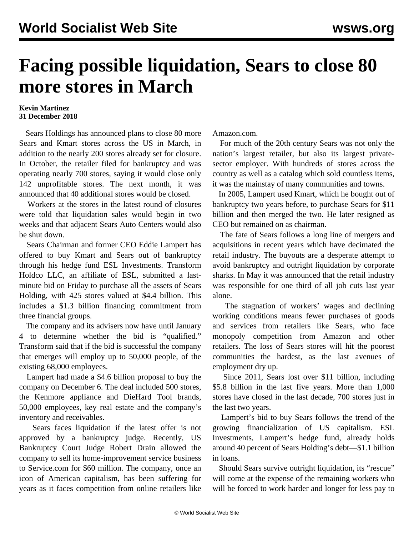## **Facing possible liquidation, Sears to close 80 more stores in March**

## **Kevin Martinez 31 December 2018**

 Sears Holdings has announced plans to close 80 more Sears and Kmart stores across the US in March, in addition to the nearly 200 stores already set for closure. In October, the retailer filed for bankruptcy and was operating nearly 700 stores, saying it would close only 142 unprofitable stores. The next month, it was announced that 40 additional stores would be closed.

 Workers at the stores in the latest round of closures were told that liquidation sales would begin in two weeks and that adjacent Sears Auto Centers would also be shut down.

 Sears Chairman and former CEO Eddie Lampert has offered to buy Kmart and Sears out of bankruptcy through his hedge fund ESL Investments. Transform Holdco LLC, an affiliate of ESL, submitted a lastminute bid on Friday to purchase all the assets of Sears Holding, with 425 stores valued at \$4.4 billion. This includes a \$1.3 billion financing commitment from three financial groups.

 The company and its advisers now have until January 4 to determine whether the bid is "qualified." Transform said that if the bid is successful the company that emerges will employ up to 50,000 people, of the existing 68,000 employees.

 Lampert had made a \$4.6 billion proposal to buy the company on December 6. The deal included 500 stores, the Kenmore appliance and DieHard Tool brands, 50,000 employees, key real estate and the company's inventory and receivables.

 Sears faces liquidation if the latest offer is not approved by a bankruptcy judge. Recently, US Bankruptcy Court Judge Robert Drain allowed the company to sell its home-improvement service business to Service.com for \$60 million. The company, once an icon of American capitalism, has been suffering for years as it faces competition from online retailers like Amazon.com.

 For much of the 20th century Sears was not only the nation's largest retailer, but also its largest privatesector employer. With hundreds of stores across the country as well as a catalog which sold countless items, it was the mainstay of many communities and towns.

 In 2005, Lampert used Kmart, which he bought out of bankruptcy two years before, to purchase Sears for \$11 billion and then merged the two. He later resigned as CEO but remained on as chairman.

 The fate of Sears follows a long line of mergers and acquisitions in recent years which have decimated the retail industry. The buyouts are a desperate attempt to avoid bankruptcy and outright liquidation by corporate sharks. In May it was announced that the retail industry was responsible for one third of all job cuts last year alone.

 The stagnation of workers' wages and declining working conditions means fewer purchases of goods and services from retailers like Sears, who face monopoly competition from Amazon and other retailers. The loss of Sears stores will hit the poorest communities the hardest, as the last avenues of employment dry up.

 Since 2011, Sears lost over \$11 billion, including \$5.8 billion in the last five years. More than 1,000 stores have closed in the last decade, 700 stores just in the last two years.

 Lampert's bid to buy Sears follows the trend of the growing financialization of US capitalism. ESL Investments, Lampert's hedge fund, already holds around 40 percent of Sears Holding's debt—\$1.1 billion in loans.

 Should Sears survive outright liquidation, its "rescue" will come at the expense of the remaining workers who will be forced to work harder and longer for less pay to